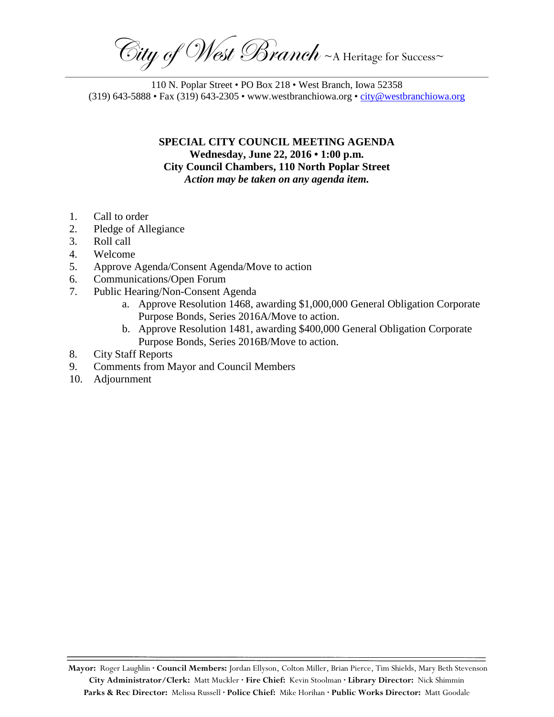$\overline{\mathrm{C}}$ ity of West Branch ~A Heritage for Success~ \_\_\_\_\_\_\_\_\_\_\_\_\_\_\_\_\_\_\_\_\_\_\_\_\_\_\_\_\_\_\_\_\_\_\_\_\_\_\_\_\_\_\_\_\_\_\_\_\_\_\_\_\_\_\_\_\_\_\_\_\_\_\_\_\_\_\_\_\_\_\_\_\_\_\_\_\_\_\_\_\_\_\_\_\_\_\_\_\_\_\_\_\_\_\_\_\_\_\_\_\_\_\_\_\_\_\_\_\_\_\_\_\_\_\_\_\_

110 N. Poplar Street • PO Box 218 • West Branch, Iowa 52358 (319) 643-5888 • Fax (319) 643-2305 • www.westbranchiowa.org • [city@westbranchiowa.org](mailto:city@westbranchiowa.org)

> **SPECIAL CITY COUNCIL MEETING AGENDA Wednesday, June 22, 2016 • 1:00 p.m. City Council Chambers, 110 North Poplar Street** *Action may be taken on any agenda item.*

- 1. Call to order
- 2. Pledge of Allegiance
- 3. Roll call
- 4. Welcome
- 5. Approve Agenda/Consent Agenda/Move to action
- 6. Communications/Open Forum
- 7. Public Hearing/Non-Consent Agenda
	- a. Approve Resolution 1468, awarding \$1,000,000 General Obligation Corporate Purpose Bonds, Series 2016A/Move to action.
	- b. Approve Resolution 1481, awarding \$400,000 General Obligation Corporate Purpose Bonds, Series 2016B/Move to action.
- 8. City Staff Reports
- 9. Comments from Mayor and Council Members
- 10. Adjournment

**Mayor:** Roger Laughlin **· Council Members:** Jordan Ellyson, Colton Miller, Brian Pierce, Tim Shields, Mary Beth Stevenson **City Administrator/Clerk:** Matt Muckler **· Fire Chief:** Kevin Stoolman **· Library Director:** Nick Shimmin **Parks & Rec Director:** Melissa Russell **· Police Chief:** Mike Horihan **· Public Works Director:** Matt Goodale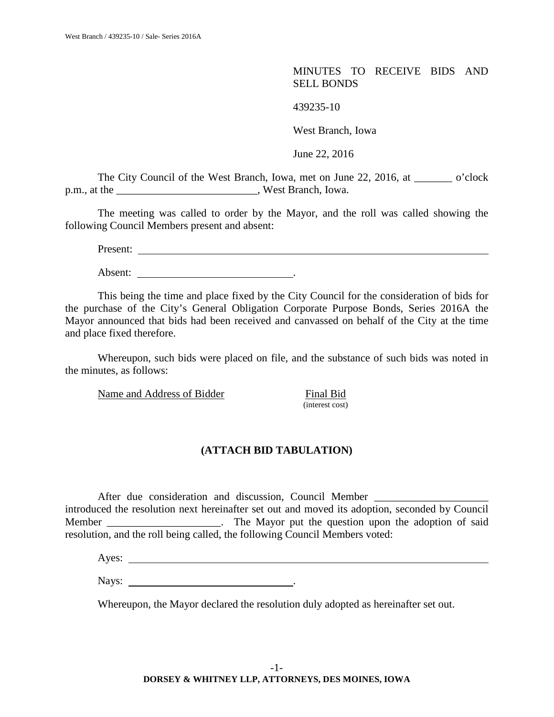MINUTES TO RECEIVE BIDS AND SELL BONDS

439235-10

West Branch, Iowa

June 22, 2016

The City Council of the West Branch, Iowa, met on June 22, 2016, at \_\_\_\_\_\_\_ o'clock p.m., at the west Branch, Iowa.

The meeting was called to order by the Mayor, and the roll was called showing the following Council Members present and absent:

Present:

Absent:  $\qquad \qquad \qquad$ 

This being the time and place fixed by the City Council for the consideration of bids for the purchase of the City's General Obligation Corporate Purpose Bonds, Series 2016A the Mayor announced that bids had been received and canvassed on behalf of the City at the time and place fixed therefore.

Whereupon, such bids were placed on file, and the substance of such bids was noted in the minutes, as follows:

Name and Address of Bidder Final Bid

(interest cost)

## **(ATTACH BID TABULATION)**

After due consideration and discussion, Council Member \_\_\_\_\_\_\_\_\_\_\_\_\_\_\_\_\_\_\_\_\_\_\_\_\_\_ introduced the resolution next hereinafter set out and moved its adoption, seconded by Council Member \_\_\_\_\_\_\_\_\_\_\_\_\_\_\_\_\_\_\_\_. The Mayor put the question upon the adoption of said resolution, and the roll being called, the following Council Members voted:

Ayes:

Nays: .

Whereupon, the Mayor declared the resolution duly adopted as hereinafter set out.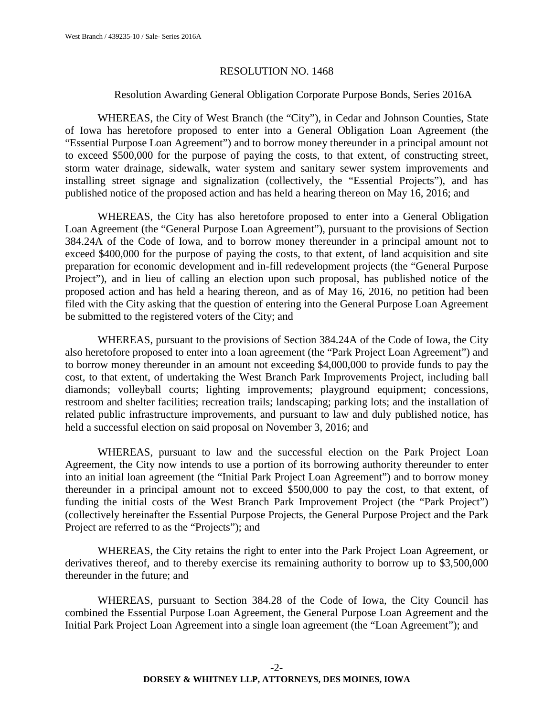#### RESOLUTION NO. 1468

### Resolution Awarding General Obligation Corporate Purpose Bonds, Series 2016A

WHEREAS, the City of West Branch (the "City"), in Cedar and Johnson Counties, State of Iowa has heretofore proposed to enter into a General Obligation Loan Agreement (the "Essential Purpose Loan Agreement") and to borrow money thereunder in a principal amount not to exceed \$500,000 for the purpose of paying the costs, to that extent, of constructing street, storm water drainage, sidewalk, water system and sanitary sewer system improvements and installing street signage and signalization (collectively, the "Essential Projects"), and has published notice of the proposed action and has held a hearing thereon on May 16, 2016; and

WHEREAS, the City has also heretofore proposed to enter into a General Obligation Loan Agreement (the "General Purpose Loan Agreement"), pursuant to the provisions of Section 384.24A of the Code of Iowa, and to borrow money thereunder in a principal amount not to exceed \$400,000 for the purpose of paying the costs, to that extent, of land acquisition and site preparation for economic development and in-fill redevelopment projects (the "General Purpose Project"), and in lieu of calling an election upon such proposal, has published notice of the proposed action and has held a hearing thereon, and as of May 16, 2016, no petition had been filed with the City asking that the question of entering into the General Purpose Loan Agreement be submitted to the registered voters of the City; and

WHEREAS, pursuant to the provisions of Section 384.24A of the Code of Iowa, the City also heretofore proposed to enter into a loan agreement (the "Park Project Loan Agreement") and to borrow money thereunder in an amount not exceeding \$4,000,000 to provide funds to pay the cost, to that extent, of undertaking the West Branch Park Improvements Project, including ball diamonds; volleyball courts; lighting improvements; playground equipment; concessions, restroom and shelter facilities; recreation trails; landscaping; parking lots; and the installation of related public infrastructure improvements, and pursuant to law and duly published notice, has held a successful election on said proposal on November 3, 2016; and

WHEREAS, pursuant to law and the successful election on the Park Project Loan Agreement, the City now intends to use a portion of its borrowing authority thereunder to enter into an initial loan agreement (the "Initial Park Project Loan Agreement") and to borrow money thereunder in a principal amount not to exceed \$500,000 to pay the cost, to that extent, of funding the initial costs of the West Branch Park Improvement Project (the "Park Project") (collectively hereinafter the Essential Purpose Projects, the General Purpose Project and the Park Project are referred to as the "Projects"); and

WHEREAS, the City retains the right to enter into the Park Project Loan Agreement, or derivatives thereof, and to thereby exercise its remaining authority to borrow up to \$3,500,000 thereunder in the future; and

WHEREAS, pursuant to Section 384.28 of the Code of Iowa, the City Council has combined the Essential Purpose Loan Agreement, the General Purpose Loan Agreement and the Initial Park Project Loan Agreement into a single loan agreement (the "Loan Agreement"); and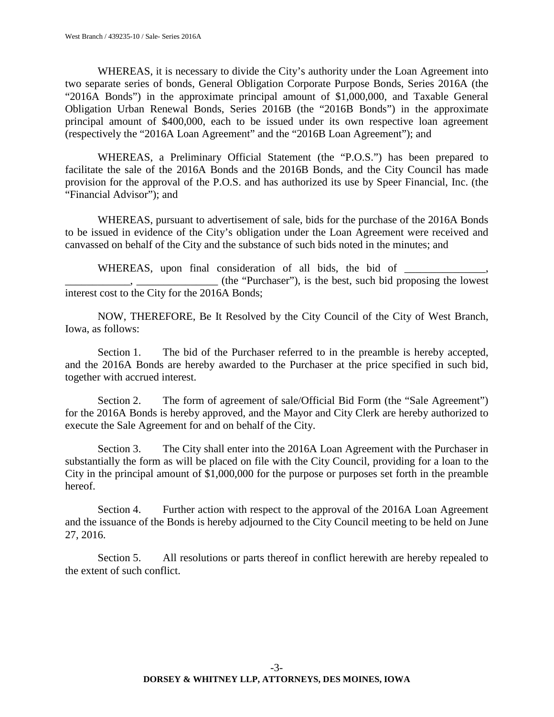WHEREAS, it is necessary to divide the City's authority under the Loan Agreement into two separate series of bonds, General Obligation Corporate Purpose Bonds, Series 2016A (the "2016A Bonds") in the approximate principal amount of \$1,000,000, and Taxable General Obligation Urban Renewal Bonds, Series 2016B (the "2016B Bonds") in the approximate principal amount of \$400,000, each to be issued under its own respective loan agreement (respectively the "2016A Loan Agreement" and the "2016B Loan Agreement"); and

WHEREAS, a Preliminary Official Statement (the "P.O.S.") has been prepared to facilitate the sale of the 2016A Bonds and the 2016B Bonds, and the City Council has made provision for the approval of the P.O.S. and has authorized its use by Speer Financial, Inc. (the "Financial Advisor"); and

WHEREAS, pursuant to advertisement of sale, bids for the purchase of the 2016A Bonds to be issued in evidence of the City's obligation under the Loan Agreement were received and canvassed on behalf of the City and the substance of such bids noted in the minutes; and

WHEREAS, upon final consideration of all bids, the bid of \_\_\_\_\_\_\_\_\_\_\_\_\_\_\_\_\_\_\_\_\_\_\_ \_\_\_\_\_\_\_\_\_\_\_\_, \_\_\_\_\_\_\_\_\_\_\_\_\_\_\_ (the "Purchaser"), is the best, such bid proposing the lowest interest cost to the City for the 2016A Bonds;

NOW, THEREFORE, Be It Resolved by the City Council of the City of West Branch, Iowa, as follows:

Section 1. The bid of the Purchaser referred to in the preamble is hereby accepted, and the 2016A Bonds are hereby awarded to the Purchaser at the price specified in such bid, together with accrued interest.

Section 2. The form of agreement of sale/Official Bid Form (the "Sale Agreement") for the 2016A Bonds is hereby approved, and the Mayor and City Clerk are hereby authorized to execute the Sale Agreement for and on behalf of the City.

Section 3. The City shall enter into the 2016A Loan Agreement with the Purchaser in substantially the form as will be placed on file with the City Council, providing for a loan to the City in the principal amount of \$1,000,000 for the purpose or purposes set forth in the preamble hereof.

Section 4. Further action with respect to the approval of the 2016A Loan Agreement and the issuance of the Bonds is hereby adjourned to the City Council meeting to be held on June 27, 2016.

Section 5. All resolutions or parts thereof in conflict herewith are hereby repealed to the extent of such conflict.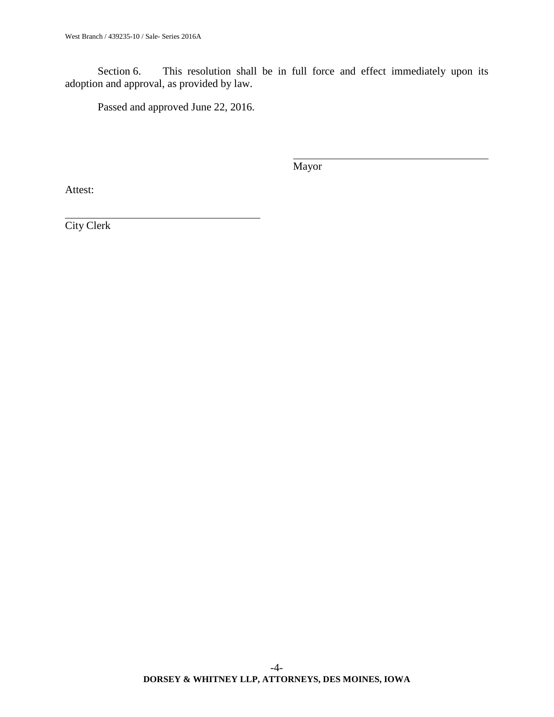Section 6. This resolution shall be in full force and effect immediately upon its adoption and approval, as provided by law.

Passed and approved June 22, 2016.

Mayor

Attest: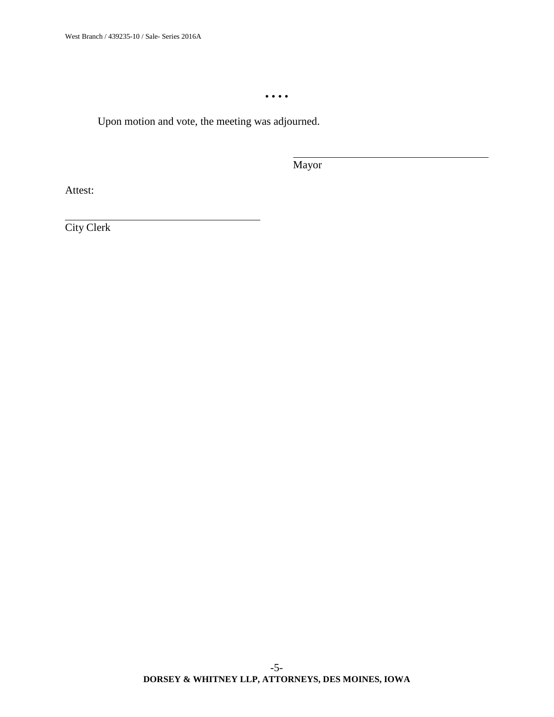• • • •

Upon motion and vote, the meeting was adjourned.

Mayor

Attest: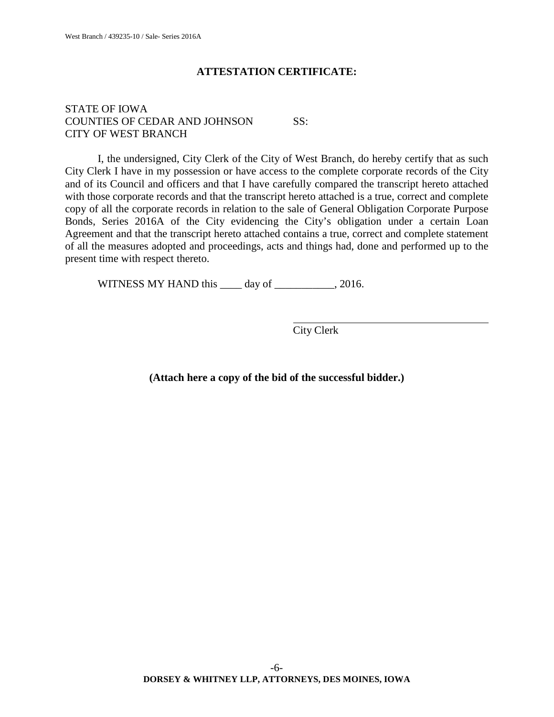# **ATTESTATION CERTIFICATE:**

## STATE OF IOWA COUNTIES OF CEDAR AND JOHNSON SS: CITY OF WEST BRANCH

I, the undersigned, City Clerk of the City of West Branch, do hereby certify that as such City Clerk I have in my possession or have access to the complete corporate records of the City and of its Council and officers and that I have carefully compared the transcript hereto attached with those corporate records and that the transcript hereto attached is a true, correct and complete copy of all the corporate records in relation to the sale of General Obligation Corporate Purpose Bonds, Series 2016A of the City evidencing the City's obligation under a certain Loan Agreement and that the transcript hereto attached contains a true, correct and complete statement of all the measures adopted and proceedings, acts and things had, done and performed up to the present time with respect thereto.

WITNESS MY HAND this \_\_\_\_ day of \_\_\_\_\_\_\_\_\_, 2016.

City Clerk

**(Attach here a copy of the bid of the successful bidder.)**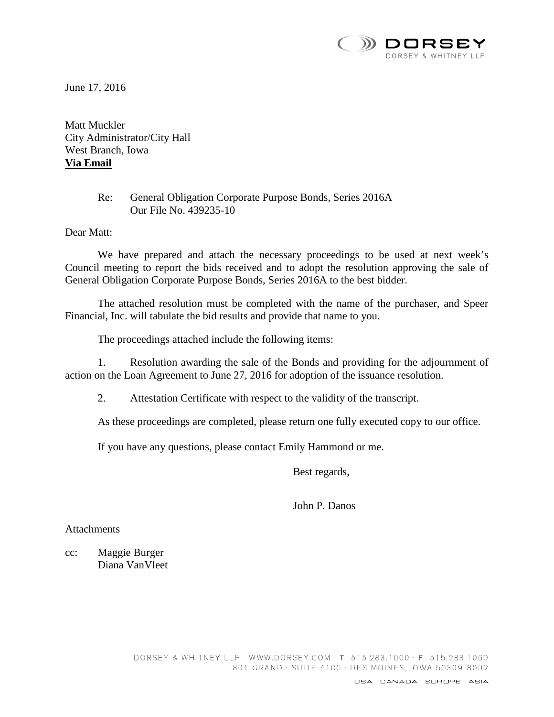

June 17, 2016

Matt Muckler City Administrator/City Hall West Branch, Iowa **Via Email**

# Re: General Obligation Corporate Purpose Bonds, Series 2016A Our File No. 439235-10

Dear Matt:

We have prepared and attach the necessary proceedings to be used at next week's Council meeting to report the bids received and to adopt the resolution approving the sale of General Obligation Corporate Purpose Bonds, Series 2016A to the best bidder.

The attached resolution must be completed with the name of the purchaser, and Speer Financial, Inc. will tabulate the bid results and provide that name to you.

The proceedings attached include the following items:

1. Resolution awarding the sale of the Bonds and providing for the adjournment of action on the Loan Agreement to June 27, 2016 for adoption of the issuance resolution.

2. Attestation Certificate with respect to the validity of the transcript.

As these proceedings are completed, please return one fully executed copy to our office.

If you have any questions, please contact Emily Hammond or me.

Best regards,

John P. Danos

**Attachments** 

cc: Maggie Burger Diana VanVleet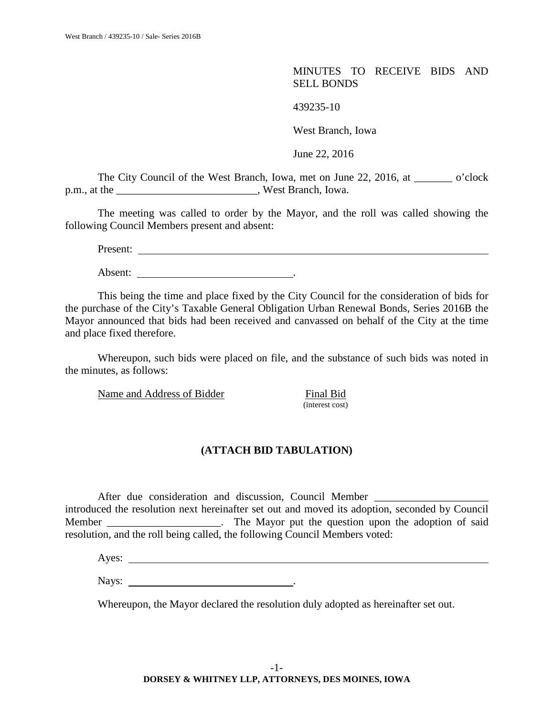MINUTES TO RECEIVE BIDS AND SELL BONDS

439235-10

West Branch, Iowa

June 22, 2016

The City Council of the West Branch, Iowa, met on June 22, 2016, at \_\_\_\_\_\_\_ o'clock p.m., at the west Branch, Iowa.

The meeting was called to order by the Mayor, and the roll was called showing the following Council Members present and absent:

Present:

Absent:  $\qquad \qquad \qquad$ 

This being the time and place fixed by the City Council for the consideration of bids for the purchase of the City's Taxable General Obligation Urban Renewal Bonds, Series 2016B the Mayor announced that bids had been received and canvassed on behalf of the City at the time and place fixed therefore.

Whereupon, such bids were placed on file, and the substance of such bids was noted in the minutes, as follows:

Name and Address of Bidder Final Bid

(interest cost)

## **(ATTACH BID TABULATION)**

After due consideration and discussion, Council Member \_\_\_\_\_\_\_\_\_\_\_\_\_\_\_\_\_\_\_\_\_\_\_\_\_\_ introduced the resolution next hereinafter set out and moved its adoption, seconded by Council Member \_\_\_\_\_\_\_\_\_\_\_\_\_\_\_\_\_\_\_\_. The Mayor put the question upon the adoption of said resolution, and the roll being called, the following Council Members voted:

Ayes:

Nays: .

Whereupon, the Mayor declared the resolution duly adopted as hereinafter set out.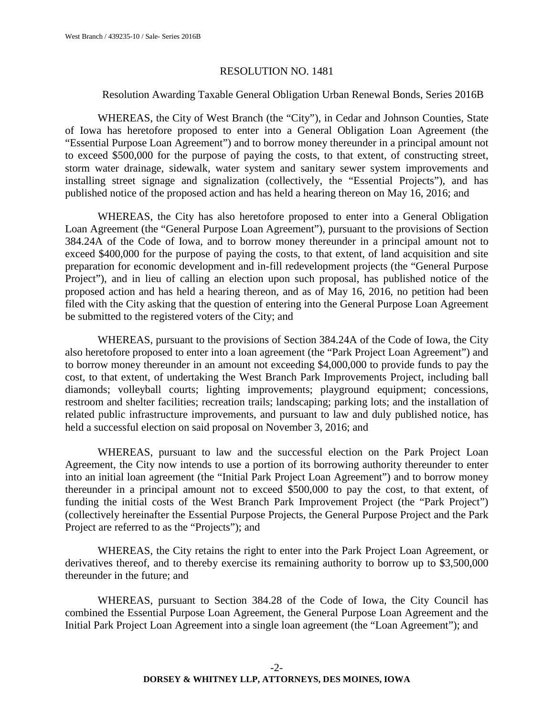#### RESOLUTION NO. 1481

### Resolution Awarding Taxable General Obligation Urban Renewal Bonds, Series 2016B

WHEREAS, the City of West Branch (the "City"), in Cedar and Johnson Counties, State of Iowa has heretofore proposed to enter into a General Obligation Loan Agreement (the "Essential Purpose Loan Agreement") and to borrow money thereunder in a principal amount not to exceed \$500,000 for the purpose of paying the costs, to that extent, of constructing street, storm water drainage, sidewalk, water system and sanitary sewer system improvements and installing street signage and signalization (collectively, the "Essential Projects"), and has published notice of the proposed action and has held a hearing thereon on May 16, 2016; and

WHEREAS, the City has also heretofore proposed to enter into a General Obligation Loan Agreement (the "General Purpose Loan Agreement"), pursuant to the provisions of Section 384.24A of the Code of Iowa, and to borrow money thereunder in a principal amount not to exceed \$400,000 for the purpose of paying the costs, to that extent, of land acquisition and site preparation for economic development and in-fill redevelopment projects (the "General Purpose Project"), and in lieu of calling an election upon such proposal, has published notice of the proposed action and has held a hearing thereon, and as of May 16, 2016, no petition had been filed with the City asking that the question of entering into the General Purpose Loan Agreement be submitted to the registered voters of the City; and

WHEREAS, pursuant to the provisions of Section 384.24A of the Code of Iowa, the City also heretofore proposed to enter into a loan agreement (the "Park Project Loan Agreement") and to borrow money thereunder in an amount not exceeding \$4,000,000 to provide funds to pay the cost, to that extent, of undertaking the West Branch Park Improvements Project, including ball diamonds; volleyball courts; lighting improvements; playground equipment; concessions, restroom and shelter facilities; recreation trails; landscaping; parking lots; and the installation of related public infrastructure improvements, and pursuant to law and duly published notice, has held a successful election on said proposal on November 3, 2016; and

WHEREAS, pursuant to law and the successful election on the Park Project Loan Agreement, the City now intends to use a portion of its borrowing authority thereunder to enter into an initial loan agreement (the "Initial Park Project Loan Agreement") and to borrow money thereunder in a principal amount not to exceed \$500,000 to pay the cost, to that extent, of funding the initial costs of the West Branch Park Improvement Project (the "Park Project") (collectively hereinafter the Essential Purpose Projects, the General Purpose Project and the Park Project are referred to as the "Projects"); and

WHEREAS, the City retains the right to enter into the Park Project Loan Agreement, or derivatives thereof, and to thereby exercise its remaining authority to borrow up to \$3,500,000 thereunder in the future; and

WHEREAS, pursuant to Section 384.28 of the Code of Iowa, the City Council has combined the Essential Purpose Loan Agreement, the General Purpose Loan Agreement and the Initial Park Project Loan Agreement into a single loan agreement (the "Loan Agreement"); and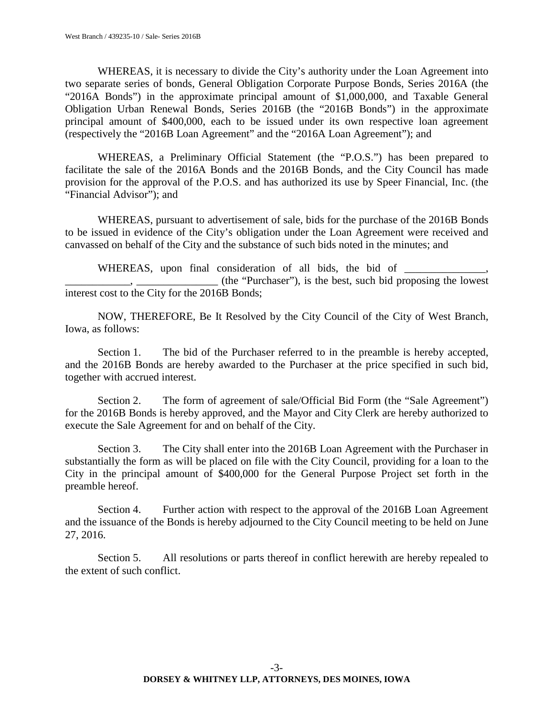WHEREAS, it is necessary to divide the City's authority under the Loan Agreement into two separate series of bonds, General Obligation Corporate Purpose Bonds, Series 2016A (the "2016A Bonds") in the approximate principal amount of \$1,000,000, and Taxable General Obligation Urban Renewal Bonds, Series 2016B (the "2016B Bonds") in the approximate principal amount of \$400,000, each to be issued under its own respective loan agreement (respectively the "2016B Loan Agreement" and the "2016A Loan Agreement"); and

WHEREAS, a Preliminary Official Statement (the "P.O.S.") has been prepared to facilitate the sale of the 2016A Bonds and the 2016B Bonds, and the City Council has made provision for the approval of the P.O.S. and has authorized its use by Speer Financial, Inc. (the "Financial Advisor"); and

WHEREAS, pursuant to advertisement of sale, bids for the purchase of the 2016B Bonds to be issued in evidence of the City's obligation under the Loan Agreement were received and canvassed on behalf of the City and the substance of such bids noted in the minutes; and

WHEREAS, upon final consideration of all bids, the bid of \_\_\_\_\_\_\_\_\_\_\_\_\_\_\_\_\_\_\_\_\_\_\_

\_\_\_\_\_\_\_\_\_\_\_\_, \_\_\_\_\_\_\_\_\_\_\_\_\_\_\_ (the "Purchaser"), is the best, such bid proposing the lowest interest cost to the City for the 2016B Bonds;

NOW, THEREFORE, Be It Resolved by the City Council of the City of West Branch, Iowa, as follows:

Section 1. The bid of the Purchaser referred to in the preamble is hereby accepted, and the 2016B Bonds are hereby awarded to the Purchaser at the price specified in such bid, together with accrued interest.

Section 2. The form of agreement of sale/Official Bid Form (the "Sale Agreement") for the 2016B Bonds is hereby approved, and the Mayor and City Clerk are hereby authorized to execute the Sale Agreement for and on behalf of the City.

Section 3. The City shall enter into the 2016B Loan Agreement with the Purchaser in substantially the form as will be placed on file with the City Council, providing for a loan to the City in the principal amount of \$400,000 for the General Purpose Project set forth in the preamble hereof.

Section 4. Further action with respect to the approval of the 2016B Loan Agreement and the issuance of the Bonds is hereby adjourned to the City Council meeting to be held on June 27, 2016.

Section 5. All resolutions or parts thereof in conflict herewith are hereby repealed to the extent of such conflict.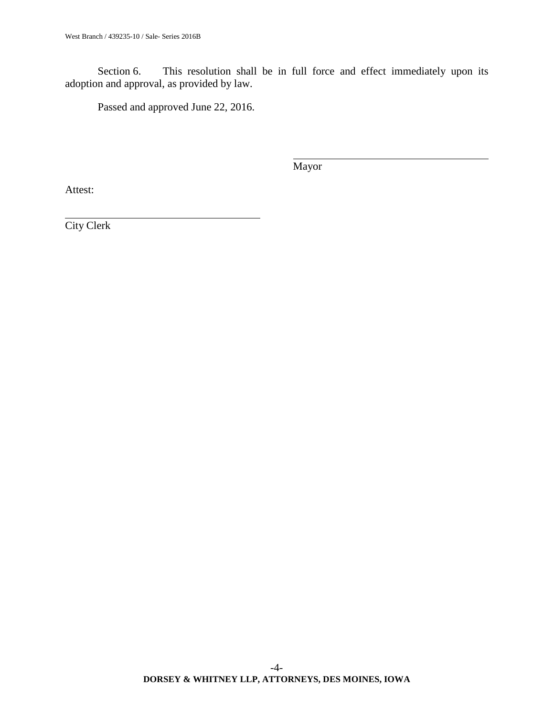Section 6. This resolution shall be in full force and effect immediately upon its adoption and approval, as provided by law.

Passed and approved June 22, 2016.

Mayor

Attest: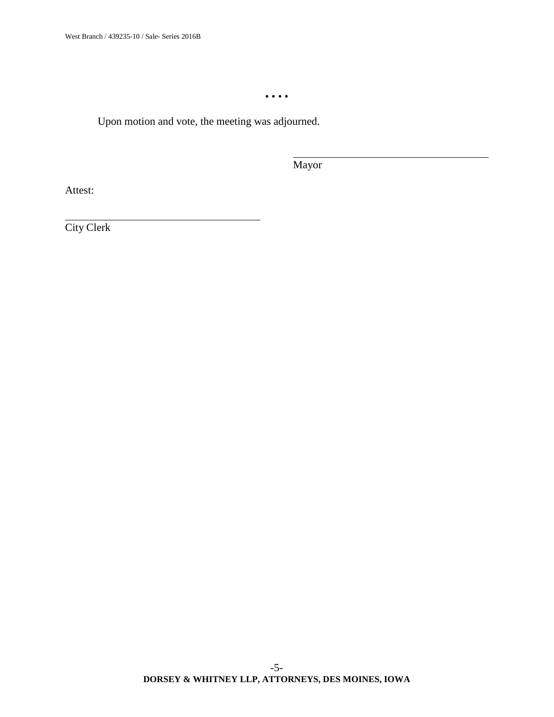• • • •

Upon motion and vote, the meeting was adjourned.

Mayor

Attest: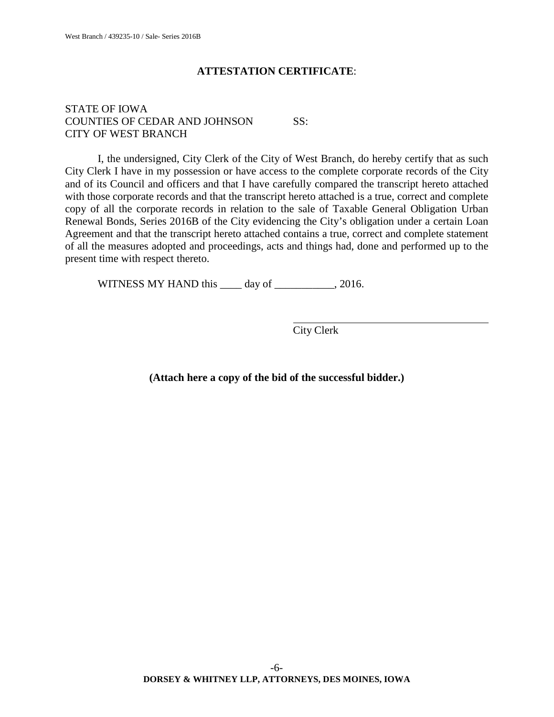## **ATTESTATION CERTIFICATE**:

## STATE OF IOWA COUNTIES OF CEDAR AND JOHNSON SS: CITY OF WEST BRANCH

I, the undersigned, City Clerk of the City of West Branch, do hereby certify that as such City Clerk I have in my possession or have access to the complete corporate records of the City and of its Council and officers and that I have carefully compared the transcript hereto attached with those corporate records and that the transcript hereto attached is a true, correct and complete copy of all the corporate records in relation to the sale of Taxable General Obligation Urban Renewal Bonds, Series 2016B of the City evidencing the City's obligation under a certain Loan Agreement and that the transcript hereto attached contains a true, correct and complete statement of all the measures adopted and proceedings, acts and things had, done and performed up to the present time with respect thereto.

WITNESS MY HAND this \_\_\_\_ day of \_\_\_\_\_\_\_\_\_, 2016.

City Clerk

**(Attach here a copy of the bid of the successful bidder.)**